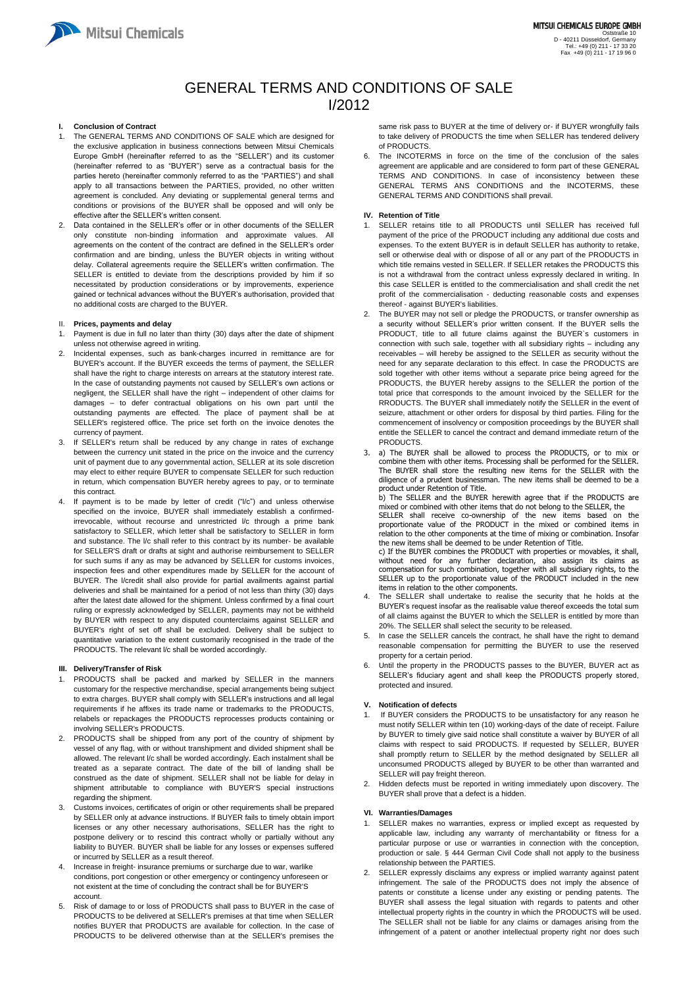

# GENERAL TERMS AND CONDITIONS OF SALE I/2012

# **I. Conclusion of Contract**

- 1. The GENERAL TERMS AND CONDITIONS OF SALE which are designed for the exclusive application in business connections between Mitsui Chemicals Europe GmbH (hereinafter referred to as the "SELLER") and its customer (hereinafter referred to as "BUYER") serve as a contractual basis for the parties hereto (hereinafter commonly referred to as the "PARTIES") and shall apply to all transactions between the PARTIES, provided, no other written agreement is concluded. Any deviating or supplemental general terms and conditions or provisions of the BUYER shall be opposed and will only be effective after the SELLER's written consent.
- 2. Data contained in the SELLER's offer or in other documents of the SELLER only constitute non-binding information and approximate values. All agreements on the content of the contract are defined in the SELLER's order confirmation and are binding, unless the BUYER objects in writing without delay. Collateral agreements require the SELLER's written confirmation. The SELLER is entitled to deviate from the descriptions provided by him if so necessitated by production considerations or by improvements, experience gained or technical advances without the BUYER's authorisation, provided that no additional costs are charged to the BUYER.

## II. **Prices, payments and delay**

- 1. Payment is due in full no later than thirty (30) days after the date of shipment unless not otherwise agreed in writing.
- 2. Incidental expenses, such as bank-charges incurred in remittance are for BUYER's account. If the BUYER exceeds the terms of payment, the SELLER shall have the right to charge interests on arrears at the statutory interest rate. In the case of outstanding payments not caused by SELLER's own actions or negligent, the SELLER shall have the right – independent of other claims for damages – to defer contractual obligations on his own part until the outstanding payments are effected. The place of payment shall be at SELLER's registered office. The price set forth on the invoice denotes the currency of payment.
- 3. If SELLER's return shall be reduced by any change in rates of exchange between the currency unit stated in the price on the invoice and the currency unit of payment due to any governmental action, SELLER at its sole discretion may elect to either require BUYER to compensate SELLER for such reduction in return, which compensation BUYER hereby agrees to pay, or to terminate this contract.
- 4. If payment is to be made by letter of credit ("l/c") and unless otherwise specified on the invoice, BUYER shall immediately establish a confirmedirrevocable, without recourse and unrestricted l/c through a prime bank satisfactory to SELLER, which letter shall be satisfactory to SELLER in form and substance. The l/c shall refer to this contract by its number- be available for SELLER'S draft or drafts at sight and authorise reimbursement to SELLER for such sums if any as may be advanced by SELLER for customs invoices, inspection fees and other expenditures made by SELLER for the account of BUYER. The l/credit shall also provide for partial availments against partial deliveries and shall be maintained for a period of not less than thirty (30) days after the latest date allowed for the shipment. Unless confirmed by a final court ruling or expressly acknowledged by SELLER, payments may not be withheld by BUYER with respect to any disputed counterclaims against SELLER and BUYER's right of set off shall be excluded. Delivery shall be subject to quantitative variation to the extent customarily recognised in the trade of the PRODUCTS. The relevant l/c shall be worded accordingly.

- If BUYER considers the PRODUCTS to be unsatisfactory for any reason he must notify SELLER within ten (10) working-days of the date of receipt. Failure by BUYER to timely give said notice shall constitute a waiver by BUYER of all claims with respect to said PRODUCTS. If requested by SELLER, BUYER shall promptly return to SELLER by the method designated by SELLER all unconsumed PRODUCTS alleged by BUYER to be other than warranted and SELLER will pay freight thereon.
- 4. Increase in freight- insurance premiums or surcharge due to war, warlike conditions, port congestion or other emergency or contingency unforeseen or not existent at the time of concluding the contract shall be for BUYER'S account.
- 5. Risk of damage to or loss of PRODUCTS shall pass to BUYER in the case of PRODUCTS to be delivered at SELLER's premises at that time when SELLER notifies BUYER that PRODUCTS are available for collection. In the case of PRODUCTS to be delivered otherwise than at the SELLER's premises the

The INCOTERMS in force on the time of the conclusion of the sales agreement are applicable and are considered to form part of these GENERAL TERMS AND CONDITIONS. In case of inconsistency between these GENERAL TERMS ANS CONDITIONS and the INCOTERMS, these GENERAL TERMS AND CONDITIONS shall prevail.

# **III. Delivery/Transfer of Risk**

- 1. PRODUCTS shall be packed and marked by SELLER in the manners customary for the respective merchandise, special arrangements being subject to extra charges. BUYER shall comply with SELLER's instructions and all legal requirements if he affixes its trade name or trademarks to the PRODUCTS, relabels or repackages the PRODUCTS reprocesses products containing or involving SELLER's PRODUCTS.
- 2. PRODUCTS shall be shipped from any port of the country of shipment by vessel of any flag, with or without transhipment and divided shipment shall be allowed. The relevant l/c shall be worded accordingly. Each instalment shall be treated as a separate contract. The date of the bill of landing shall be construed as the date of shipment. SELLER shall not be liable for delay in shipment attributable to compliance with BUYER'S special instructions regarding the shipment. 3. Customs invoices, certificates of origin or other requirements shall be prepared by SELLER only at advance instructions. If BUYER fails to timely obtain import licenses or any other necessary authorisations, SELLER has the right to postpone delivery or to rescind this contract wholly or partially without any liability to BUYER. BUYER shall be liable for any losses or expenses suffered or incurred by SELLER as a result thereof.
- The SELLER shall undertake to realise the security that he holds at the BUYER's request insofar as the realisable value thereof exceeds the total sum of all claims against the BUYER to which the SELLER is entitled by more than 20%. The SELLER shall select the security to be released.
- In case the SELLER cancels the contract, he shall have the right to demand reasonable compensation for permitting the BUYER to use the reserved property for a certain period.
- 6. Until the property in the PRODUCTS passes to the BUYER, BUYER act as SELLER's fiduciary agent and shall keep the PRODUCTS properly stored, protected and insured.

same risk pass to BUYER at the time of delivery or- if BUYER wrongfully fails to take delivery of PRODUCTS the time when SELLER has tendered delivery of PRODUCTS.

## **IV. Retention of Title**

- 1. SELLER retains title to all PRODUCTS until SELLER has received full payment of the price of the PRODUCT including any additional due costs and expenses. To the extent BUYER is in default SELLER has authority to retake, sell or otherwise deal with or dispose of all or any part of the PRODUCTS in which title remains vested in SELLER. If SELLER retakes the PRODUCTS this is not a withdrawal from the contract unless expressly declared in writing. In this case SELLER is entitled to the commercialisation and shall credit the net profit of the commercialisation - deducting reasonable costs and expenses thereof - against BUYER's liabilities.
- 2. The BUYER may not sell or pledge the PRODUCTS, or transfer ownership as a security without SELLER's prior written consent. If the BUYER sells the PRODUCT, title to all future claims against the BUYER`s customers in connection with such sale, together with all subsidiary rights – including any receivables – will hereby be assigned to the SELLER as security without the need for any separate declaration to this effect. In case the PRODUCTS are sold together with other items without a separate price being agreed for the PRODUCTS, the BUYER hereby assigns to the SELLER the portion of the total price that corresponds to the amount invoiced by the SELLER for the RRODUCTS. The BUYER shall immediately notify the SELLER in the event of seizure, attachment or other orders for disposal by third parties. Filing for the commencement of insolvency or composition proceedings by the BUYER shall entitle the SELLER to cancel the contract and demand immediate return of the PRODUCTS.
- 3. a) The BUYER shall be allowed to process the PRODUCTS, or to mix or combine them with other items. Processing shall be performed for the SELLER. The BUYER shall store the resulting new items for the SELLER with the diligence of a prudent businessman. The new items shall be deemed to be a product under Retention of Title.

b) The SELLER and the BUYER herewith agree that if the PRODUCTS are mixed or combined with other items that do not belong to the SELLER, the

SELLER shall receive co-ownership of the new items based on the proportionate value of the PRODUCT in the mixed or combined items in relation to the other components at the time of mixing or combination. Insofar the new items shall be deemed to be under Retention of Title.

c) If the BUYER combines the PRODUCT with properties or movables, it shall, without need for any further declaration, also assign its claims as compensation for such combination, together with all subsidiary rights, to the SELLER up to the proportionate value of the PRODUCT included in the new items in relation to the other components.

# **V. Notification of defects**

2. Hidden defects must be reported in writing immediately upon discovery. The BUYER shall prove that a defect is a hidden.

#### **VI. Warranties/Damages**

- 1. SELLER makes no warranties, express or implied except as requested by applicable law, including any warranty of merchantability or fitness for a particular purpose or use or warranties in connection with the conception, production or sale. § 444 German Civil Code shall not apply to the business relationship between the PARTIES.
- SELLER expressly disclaims any express or implied warranty against patent infringement. The sale of the PRODUCTS does not imply the absence of patents or constitute a license under any existing or pending patents. The BUYER shall assess the legal situation with regards to patents and other intellectual property rights in the country in which the PRODUCTS will be used. The SELLER shall not be liable for any claims or damages arising from the infringement of a patent or another intellectual property right nor does such